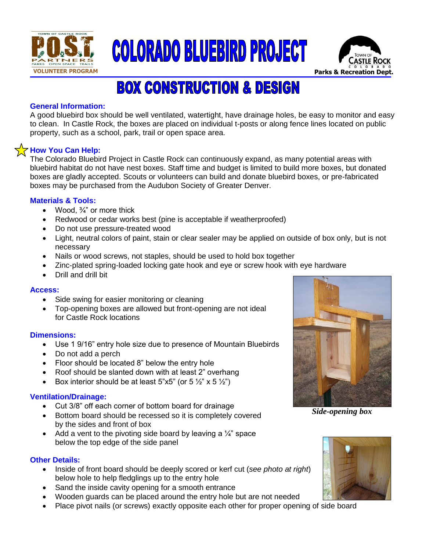





# **BOX CONSTRUCTION & DESIGN**

## **General Information:**

A good bluebird box should be well ventilated, watertight, have drainage holes, be easy to monitor and easy to clean. In Castle Rock, the boxes are placed on individual t-posts or along fence lines located on public property, such as a school, park, trail or open space area.

## **How You Can Help:**

The Colorado Bluebird Project in Castle Rock can continuously expand, as many potential areas with bluebird habitat do not have nest boxes. Staff time and budget is limited to build more boxes, but donated boxes are gladly accepted. Scouts or volunteers can build and donate bluebird boxes, or pre-fabricated boxes may be purchased from the Audubon Society of Greater Denver.

## **Materials & Tools:**

- Wood,  $\frac{3}{4}$ " or more thick
- Redwood or cedar works best (pine is acceptable if weatherproofed)
- Do not use pressure-treated wood
- Light, neutral colors of paint, stain or clear sealer may be applied on outside of box only, but is not necessary
- Nails or wood screws, not staples, should be used to hold box together
- Zinc-plated spring-loaded locking gate hook and eye or screw hook with eye hardware
- Drill and drill bit

## **Access:**

- Side swing for easier monitoring or cleaning
- Top-opening boxes are allowed but front-opening are not ideal for Castle Rock locations

## **Dimensions:**

- Use 1 9/16" entry hole size due to presence of Mountain Bluebirds
- Do not add a perch
- Floor should be located 8" below the entry hole
- Roof should be slanted down with at least 2" overhang
- Box interior should be at least  $5"x5"$  (or  $5\frac{1}{2}x''$  x  $5\frac{1}{2}x''$ )

## **Ventilation/Drainage:**

- Cut 3/8" off each corner of bottom board for drainage
- Bottom board should be recessed so it is completely covered by the sides and front of box
- Add a vent to the pivoting side board by leaving a  $\frac{1}{4}$  space below the top edge of the side panel

## **Other Details:**

- Inside of front board should be deeply scored or kerf cut (*see photo at right*) below hole to help fledglings up to the entry hole
- Sand the inside cavity opening for a smooth entrance
- Wooden guards can be placed around the entry hole but are not needed
- Place pivot nails (or screws) exactly opposite each other for proper opening of side board



*Side-opening box*